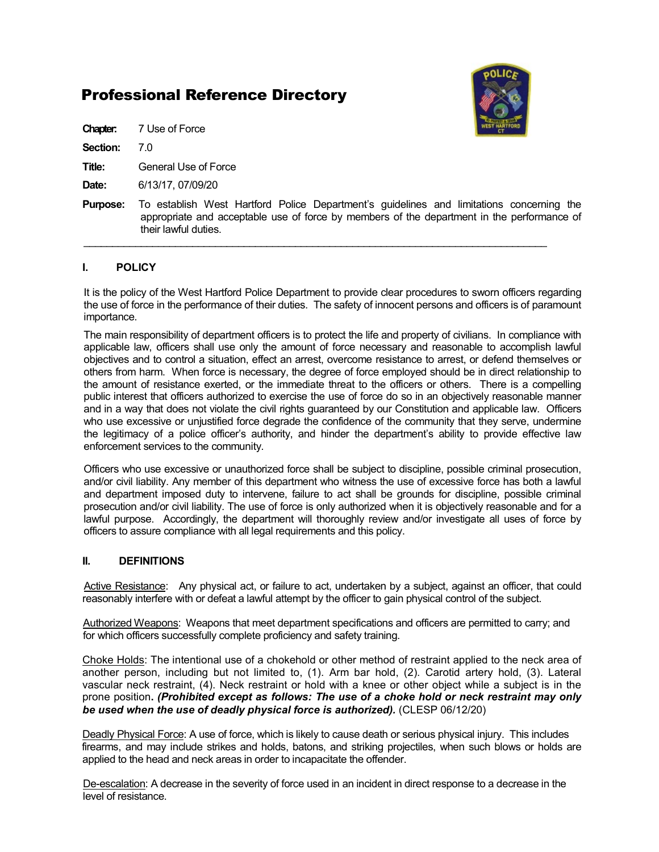# Professional Reference Directory



**Chapter:** 7 Use of Force **Section:** 7.0

**Title:** General Use of Force

**Date:** 6/13/17, 07/09/20

**Purpose:** To establish West Hartford Police Department's guidelines and limitations concerning the appropriate and acceptable use of force by members of the department in the performance of their lawful duties.

\_\_\_\_\_\_\_\_\_\_\_\_\_\_\_\_\_\_\_\_\_\_\_\_\_\_\_\_\_\_\_\_\_\_\_\_\_\_\_\_\_\_\_\_\_\_\_\_\_\_\_\_\_\_\_\_\_\_\_\_\_\_\_\_\_\_\_\_\_\_\_\_\_\_\_\_\_\_\_\_\_

# **I. POLICY**

It is the policy of the West Hartford Police Department to provide clear procedures to sworn officers regarding the use of force in the performance of their duties. The safety of innocent persons and officers is of paramount importance.

The main responsibility of department officers is to protect the life and property of civilians. In compliance with applicable law, officers shall use only the amount of force necessary and reasonable to accomplish lawful objectives and to control a situation, effect an arrest, overcome resistance to arrest, or defend themselves or others from harm. When force is necessary, the degree of force employed should be in direct relationship to the amount of resistance exerted, or the immediate threat to the officers or others. There is a compelling public interest that officers authorized to exercise the use of force do so in an objectively reasonable manner and in a way that does not violate the civil rights guaranteed by our Constitution and applicable law. Officers who use excessive or unjustified force degrade the confidence of the community that they serve, undermine the legitimacy of a police officer's authority, and hinder the department's ability to provide effective law enforcement services to the community.

Officers who use excessive or unauthorized force shall be subject to discipline, possible criminal prosecution, and/or civil liability. Any member of this department who witness the use of excessive force has both a lawful and department imposed duty to intervene, failure to act shall be grounds for discipline, possible criminal prosecution and/or civil liability. The use of force is only authorized when it is objectively reasonable and for a lawful purpose. Accordingly, the department will thoroughly review and/or investigate all uses of force by officers to assure compliance with all legal requirements and this policy.

#### **II. DEFINITIONS**

Active Resistance: Any physical act, or failure to act, undertaken by a subject, against an officer, that could reasonably interfere with or defeat a lawful attempt by the officer to gain physical control of the subject.

 Authorized Weapons: Weapons that meet department specifications and officers are permitted to carry; and for which officers successfully complete proficiency and safety training.

Choke Holds: The intentional use of a chokehold or other method of restraint applied to the neck area of another person, including but not limited to, (1). Arm bar hold, (2). Carotid artery hold, (3). Lateral vascular neck restraint, (4). Neck restraint or hold with a knee or other object while a subject is in the prone position**.** *(Prohibited except as follows: The use of a choke hold or neck restraint may only be used when the use of deadly physical force is authorized).* (CLESP 06/12/20)

 Deadly Physical Force: A use of force, which is likely to cause death or serious physical injury. This includes firearms, and may include strikes and holds, batons, and striking projectiles, when such blows or holds are applied to the head and neck areas in order to incapacitate the offender.

 De-escalation: A decrease in the severity of force used in an incident in direct response to a decrease in the level of resistance.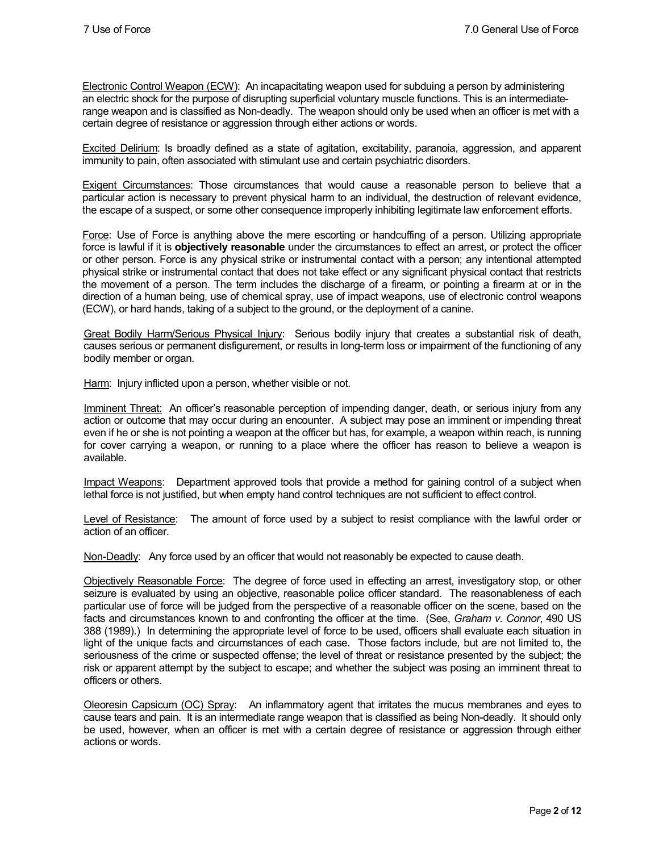Electronic Control Weapon (ECW):An incapacitating weapon used for subduing a person by administering an electric shock for the purpose of disrupting superficial voluntary muscle functions. This is an intermediaterange weapon and is classified as Non-deadly. The weapon should only be used when an officer is met with a certain degree of resistance or aggression through either actions or words.

Excited Delirium: Is broadly defined as a state of agitation, excitability, paranoia, aggression, and apparent immunity to pain, often associated with stimulant use and certain psychiatric disorders.

Exigent Circumstances: Those circumstances that would cause a reasonable person to believe that a particular action is necessary to prevent physical harm to an individual, the destruction of relevant evidence, the escape of a suspect, or some other consequence improperly inhibiting legitimate law enforcement efforts.

Force: Use of Force is anything above the mere escorting or handcuffing of a person. Utilizing appropriate force is lawful if it is **objectively reasonable** under the circumstances to effect an arrest, or protect the officer or other person. Force is any physical strike or instrumental contact with a person; any intentional attempted physical strike or instrumental contact that does not take effect or any significant physical contact that restricts the movement of a person. The term includes the discharge of a firearm, or pointing a firearm at or in the direction of a human being, use of chemical spray, use of impact weapons, use of electronic control weapons (ECW), or hard hands, taking of a subject to the ground, or the deployment of a canine.

Great Bodily Harm/Serious Physical Injury: Serious bodily injury that creates a substantial risk of death, causes serious or permanent disfigurement, or results in long-term loss or impairment of the functioning of any bodily member or organ.

Harm: Injury inflicted upon a person, whether visible or not.

Imminent Threat: An officer's reasonable perception of impending danger, death, or serious injury from any action or outcome that may occur during an encounter. A subject may pose an imminent or impending threat even if he or she is not pointing a weapon at the officer but has, for example, a weapon within reach, is running for cover carrying a weapon, or running to a place where the officer has reason to believe a weapon is available.

Impact Weapons:Department approved tools that provide a method for gaining control of a subject when lethal force is not justified, but when empty hand control techniques are not sufficient to effect control.

Level of Resistance: The amount of force used by a subject to resist compliance with the lawful order or action of an officer.

Non-Deadly:Any force used by an officer that would not reasonably be expected to cause death.

Objectively Reasonable Force: The degree of force used in effecting an arrest, investigatory stop, or other seizure is evaluated by using an objective, reasonable police officer standard. The reasonableness of each particular use of force will be judged from the perspective of a reasonable officer on the scene, based on the facts and circumstances known to and confronting the officer at the time. (See, *Graham v. Connor*, 490 US 388 (1989).) In determining the appropriate level of force to be used, officers shall evaluate each situation in light of the unique facts and circumstances of each case. Those factors include, but are not limited to, the seriousness of the crime or suspected offense; the level of threat or resistance presented by the subject; the risk or apparent attempt by the subject to escape; and whether the subject was posing an imminent threat to officers or others.

Oleoresin Capsicum (OC) Spray: An inflammatory agent that irritates the mucus membranes and eyes to cause tears and pain. It is an intermediate range weapon that is classified as being Non-deadly. It should only be used, however, when an officer is met with a certain degree of resistance or aggression through either actions or words.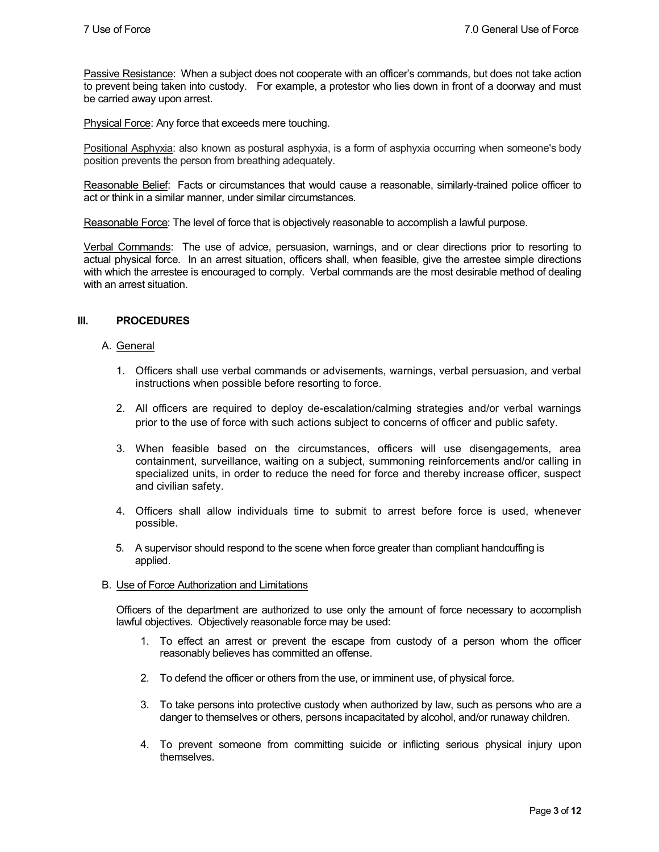Passive Resistance: When a subject does not cooperate with an officer's commands, but does not take action to prevent being taken into custody. For example, a protestor who lies down in front of a doorway and must be carried away upon arrest.

Physical Force: Any force that exceeds mere touching.

Positional Asphyxia: also known as postural asphyxia, is a form of asphyxia occurring when someone's body position prevents the person from breathing adequately.

Reasonable Belief: Facts or circumstances that would cause a reasonable, similarly-trained police officer to act or think in a similar manner, under similar circumstances.

Reasonable Force: The level of force that is objectively reasonable to accomplish a lawful purpose.

Verbal Commands: The use of advice, persuasion, warnings, and or clear directions prior to resorting to actual physical force. In an arrest situation, officers shall, when feasible, give the arrestee simple directions with which the arrestee is encouraged to comply. Verbal commands are the most desirable method of dealing with an arrest situation.

#### **III. PROCEDURES**

#### A. General

- 1. Officers shall use verbal commands or advisements, warnings, verbal persuasion, and verbal instructions when possible before resorting to force.
- 2. All officers are required to deploy de-escalation/calming strategies and/or verbal warnings prior to the use of force with such actions subject to concerns of officer and public safety.
- 3. When feasible based on the circumstances, officers will use disengagements, area containment, surveillance, waiting on a subject, summoning reinforcements and/or calling in specialized units, in order to reduce the need for force and thereby increase officer, suspect and civilian safety.
- 4. Officers shall allow individuals time to submit to arrest before force is used, whenever possible.
- 5. A supervisor should respond to the scene when force greater than compliant handcuffing is applied.
- B. Use of Force Authorization and Limitations

Officers of the department are authorized to use only the amount of force necessary to accomplish lawful objectives. Objectively reasonable force may be used:

- 1. To effect an arrest or prevent the escape from custody of a person whom the officer reasonably believes has committed an offense.
- 2. To defend the officer or others from the use, or imminent use, of physical force.
- 3. To take persons into protective custody when authorized by law, such as persons who are a danger to themselves or others, persons incapacitated by alcohol, and/or runaway children.
- 4. To prevent someone from committing suicide or inflicting serious physical injury upon themselves.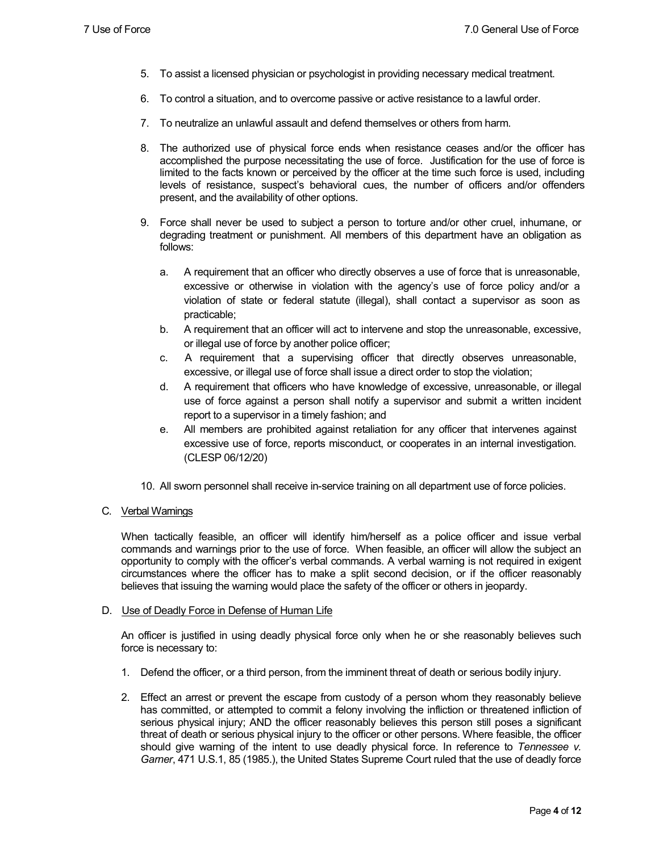- 5. To assist a licensed physician or psychologist in providing necessary medical treatment.
- 6. To control a situation, and to overcome passive or active resistance to a lawful order.
- 7. To neutralize an unlawful assault and defend themselves or others from harm.
- 8. The authorized use of physical force ends when resistance ceases and/or the officer has accomplished the purpose necessitating the use of force. Justification for the use of force is limited to the facts known or perceived by the officer at the time such force is used, including levels of resistance, suspect's behavioral cues, the number of officers and/or offenders present, and the availability of other options.
- 9. Force shall never be used to subject a person to torture and/or other cruel, inhumane, or degrading treatment or punishment. All members of this department have an obligation as follows:
	- a. A requirement that an officer who directly observes a use of force that is unreasonable, excessive or otherwise in violation with the agency's use of force policy and/or a violation of state or federal statute (illegal), shall contact a supervisor as soon as practicable;
	- b. A requirement that an officer will act to intervene and stop the unreasonable, excessive, or illegal use of force by another police officer;
	- c. A requirement that a supervising officer that directly observes unreasonable, excessive, or illegal use of force shall issue a direct order to stop the violation;
	- d. A requirement that officers who have knowledge of excessive, unreasonable, or illegal use of force against a person shall notify a supervisor and submit a written incident report to a supervisor in a timely fashion; and
	- e. All members are prohibited against retaliation for any officer that intervenes against excessive use of force, reports misconduct, or cooperates in an internal investigation. (CLESP 06/12/20)
- 10. All sworn personnel shall receive in-service training on all department use of force policies.

# C. Verbal Warnings

When tactically feasible, an officer will identify him/herself as a police officer and issue verbal commands and warnings prior to the use of force. When feasible, an officer will allow the subject an opportunity to comply with the officer's verbal commands. A verbal warning is not required in exigent circumstances where the officer has to make a split second decision, or if the officer reasonably believes that issuing the warning would place the safety of the officer or others in jeopardy.

#### D. Use of Deadly Force in Defense of Human Life

An officer is justified in using deadly physical force only when he or she reasonably believes such force is necessary to:

- 1. Defend the officer, or a third person, from the imminent threat of death or serious bodily injury.
- 2. Effect an arrest or prevent the escape from custody of a person whom they reasonably believe has committed, or attempted to commit a felony involving the infliction or threatened infliction of serious physical injury; AND the officer reasonably believes this person still poses a significant threat of death or serious physical injury to the officer or other persons. Where feasible, the officer should give warning of the intent to use deadly physical force. In reference to *Tennessee v. Garner*, 471 U.S.1, 85 (1985.), the United States Supreme Court ruled that the use of deadly force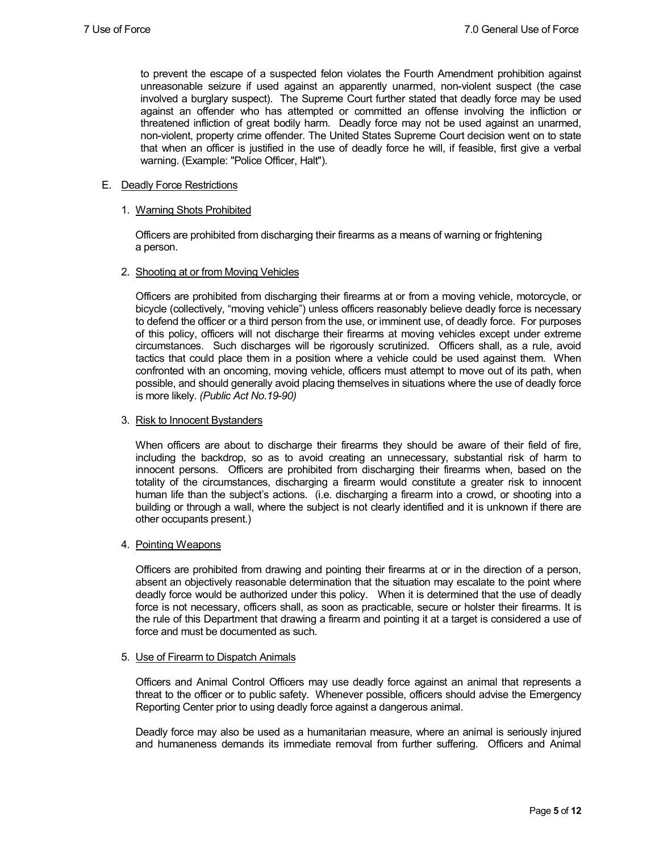to prevent the escape of a suspected felon violates the Fourth Amendment prohibition against unreasonable seizure if used against an apparently unarmed, non-violent suspect (the case involved a burglary suspect). The Supreme Court further stated that deadly force may be used against an offender who has attempted or committed an offense involving the infliction or threatened infliction of great bodily harm. Deadly force may not be used against an unarmed, non-violent, property crime offender. The United States Supreme Court decision went on to state that when an officer is justified in the use of deadly force he will, if feasible, first give a verbal warning. (Example: "Police Officer, Halt").

## E. Deadly Force Restrictions

## 1. Warning Shots Prohibited

 Officers are prohibited from discharging their firearms as a means of warning or frightening a person.

## 2. Shooting at or from Moving Vehicles

Officers are prohibited from discharging their firearms at or from a moving vehicle, motorcycle, or bicycle (collectively, "moving vehicle") unless officers reasonably believe deadly force is necessary to defend the officer or a third person from the use, or imminent use, of deadly force. For purposes of this policy, officers will not discharge their firearms at moving vehicles except under extreme circumstances. Such discharges will be rigorously scrutinized. Officers shall, as a rule, avoid tactics that could place them in a position where a vehicle could be used against them. When confronted with an oncoming, moving vehicle, officers must attempt to move out of its path, when possible, and should generally avoid placing themselves in situations where the use of deadly force is more likely*. (Public Act No.19-90)*

#### 3. Risk to Innocent Bystanders

When officers are about to discharge their firearms they should be aware of their field of fire, including the backdrop, so as to avoid creating an unnecessary, substantial risk of harm to innocent persons. Officers are prohibited from discharging their firearms when, based on the totality of the circumstances, discharging a firearm would constitute a greater risk to innocent human life than the subject's actions. (i.e. discharging a firearm into a crowd, or shooting into a building or through a wall, where the subject is not clearly identified and it is unknown if there are other occupants present.)

#### 4. Pointing Weapons

Officers are prohibited from drawing and pointing their firearms at or in the direction of a person, absent an objectively reasonable determination that the situation may escalate to the point where deadly force would be authorized under this policy. When it is determined that the use of deadly force is not necessary, officers shall, as soon as practicable, secure or holster their firearms. It is the rule of this Department that drawing a firearm and pointing it at a target is considered a use of force and must be documented as such.

#### 5. Use of Firearm to Dispatch Animals

Officers and Animal Control Officers may use deadly force against an animal that represents a threat to the officer or to public safety. Whenever possible, officers should advise the Emergency Reporting Center prior to using deadly force against a dangerous animal.

Deadly force may also be used as a humanitarian measure, where an animal is seriously injured and humaneness demands its immediate removal from further suffering. Officers and Animal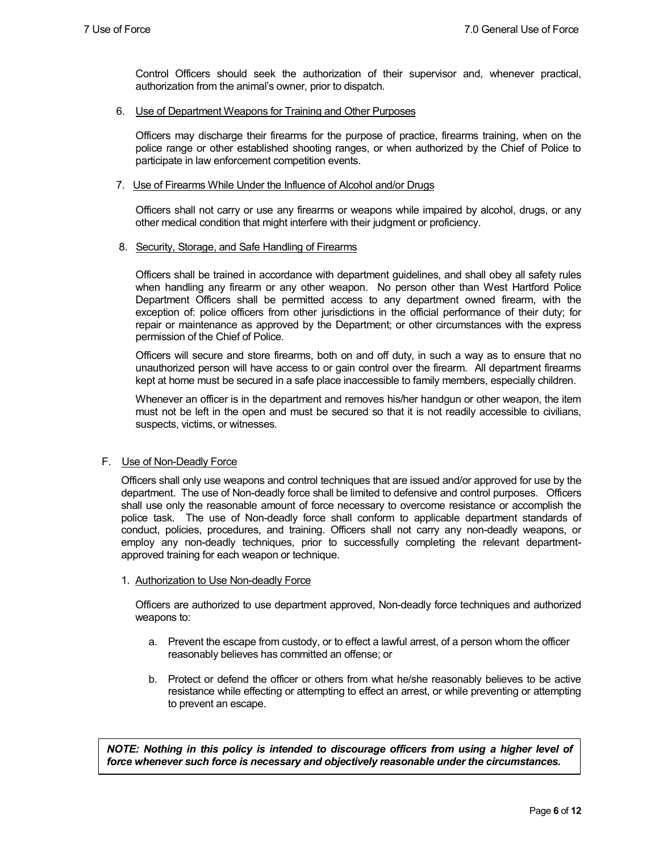Control Officers should seek the authorization of their supervisor and, whenever practical, authorization from the animal's owner, prior to dispatch.

#### 6. Use of Department Weapons for Training and Other Purposes

Officers may discharge their firearms for the purpose of practice, firearms training, when on the police range or other established shooting ranges, or when authorized by the Chief of Police to participate in law enforcement competition events.

#### 7. Use of Firearms While Under the Influence of Alcohol and/or Drugs

Officers shall not carry or use any firearms or weapons while impaired by alcohol, drugs, or any other medical condition that might interfere with their judgment or proficiency.

#### 8. Security, Storage, and Safe Handling of Firearms

Officers shall be trained in accordance with department guidelines, and shall obey all safety rules when handling any firearm or any other weapon. No person other than West Hartford Police Department Officers shall be permitted access to any department owned firearm, with the exception of: police officers from other jurisdictions in the official performance of their duty; for repair or maintenance as approved by the Department; or other circumstances with the express permission of the Chief of Police.

Officers will secure and store firearms, both on and off duty, in such a way as to ensure that no unauthorized person will have access to or gain control over the firearm. All department firearms kept at home must be secured in a safe place inaccessible to family members, especially children.

Whenever an officer is in the department and removes his/her handgun or other weapon, the item must not be left in the open and must be secured so that it is not readily accessible to civilians, suspects, victims, or witnesses.

#### F. Use of Non-Deadly Force

Officers shall only use weapons and control techniques that are issued and/or approved for use by the department. The use of Non-deadly force shall be limited to defensive and control purposes. Officers shall use only the reasonable amount of force necessary to overcome resistance or accomplish the police task. The use of Non-deadly force shall conform to applicable department standards of conduct, policies, procedures, and training. Officers shall not carry any non-deadly weapons, or employ any non-deadly techniques, prior to successfully completing the relevant departmentapproved training for each weapon or technique.

#### 1. Authorization to Use Non-deadly Force

Officers are authorized to use department approved, Non-deadly force techniques and authorized weapons to:

- a. Prevent the escape from custody, or to effect a lawful arrest, of a person whom the officer reasonably believes has committed an offense; or
- b. Protect or defend the officer or others from what he/she reasonably believes to be active resistance while effecting or attempting to effect an arrest, or while preventing or attempting to prevent an escape.

*NOTE: Nothing in this policy is intended to discourage officers from using a higher level of force whenever such force is necessary and objectively reasonable under the circumstances.*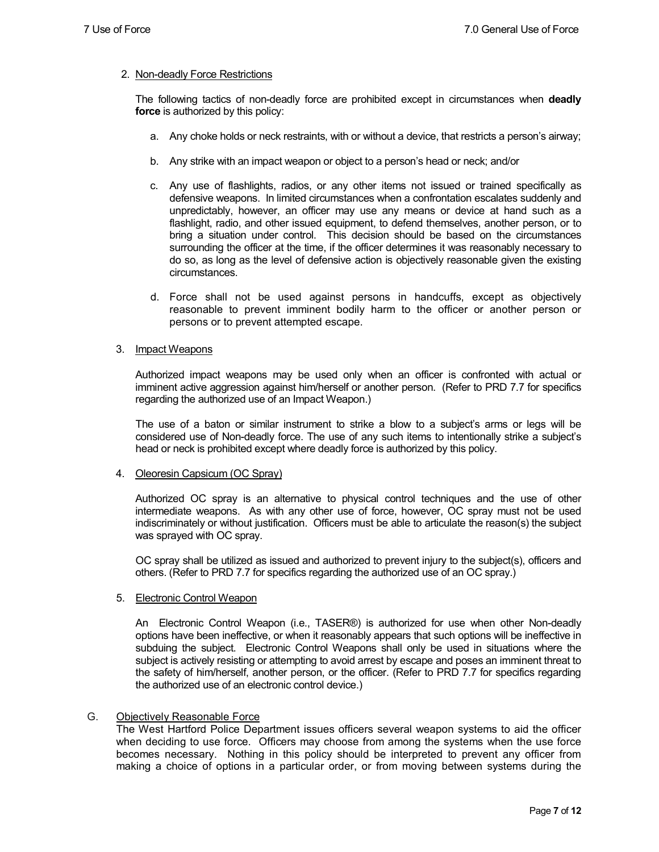## 2. Non-deadly Force Restrictions

The following tactics of non-deadly force are prohibited except in circumstances when **deadly force** is authorized by this policy:

- a. Any choke holds or neck restraints, with or without a device, that restricts a person's airway;
- b. Any strike with an impact weapon or object to a person's head or neck; and/or
- c. Any use of flashlights, radios, or any other items not issued or trained specifically as defensive weapons. In limited circumstances when a confrontation escalates suddenly and unpredictably, however, an officer may use any means or device at hand such as a flashlight, radio, and other issued equipment, to defend themselves, another person, or to bring a situation under control. This decision should be based on the circumstances surrounding the officer at the time, if the officer determines it was reasonably necessary to do so, as long as the level of defensive action is objectively reasonable given the existing circumstances.
- d. Force shall not be used against persons in handcuffs, except as objectively reasonable to prevent imminent bodily harm to the officer or another person or persons or to prevent attempted escape.

## 3. Impact Weapons

Authorized impact weapons may be used only when an officer is confronted with actual or imminent active aggression against him/herself or another person. (Refer to PRD 7.7 for specifics regarding the authorized use of an Impact Weapon.)

The use of a baton or similar instrument to strike a blow to a subject's arms or legs will be considered use of Non-deadly force. The use of any such items to intentionally strike a subject's head or neck is prohibited except where deadly force is authorized by this policy.

#### 4. Oleoresin Capsicum (OC Spray)

Authorized OC spray is an alternative to physical control techniques and the use of other intermediate weapons. As with any other use of force, however, OC spray must not be used indiscriminately or without justification. Officers must be able to articulate the reason(s) the subject was sprayed with OC spray.

OC spray shall be utilized as issued and authorized to prevent injury to the subject(s), officers and others. (Refer to PRD 7.7 for specifics regarding the authorized use of an OC spray.)

#### 5. Electronic Control Weapon

An Electronic Control Weapon (i.e., TASER®) is authorized for use when other Non-deadly options have been ineffective, or when it reasonably appears that such options will be ineffective in subduing the subject. Electronic Control Weapons shall only be used in situations where the subject is actively resisting or attempting to avoid arrest by escape and poses an imminent threat to the safety of him/herself, another person, or the officer. (Refer to PRD 7.7 for specifics regarding the authorized use of an electronic control device.)

#### G. Objectively Reasonable Force

The West Hartford Police Department issues officers several weapon systems to aid the officer when deciding to use force. Officers may choose from among the systems when the use force becomes necessary. Nothing in this policy should be interpreted to prevent any officer from making a choice of options in a particular order, or from moving between systems during the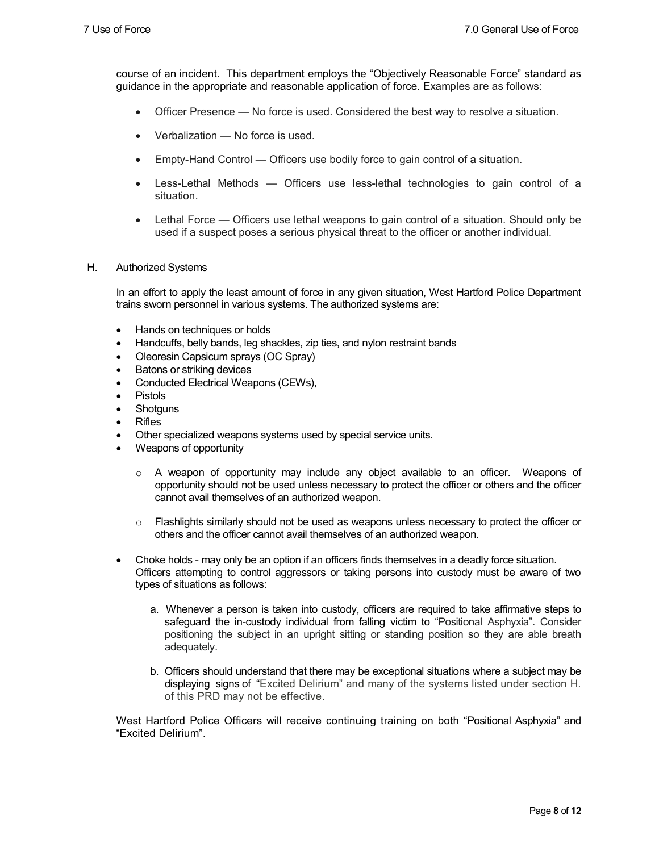course of an incident. This department employs the "Objectively Reasonable Force" standard as guidance in the appropriate and reasonable application of force. Examples are as follows:

- Officer Presence No force is used. Considered the best way to resolve a situation.
- Verbalization No force is used.
- Empty-Hand Control Officers use bodily force to gain control of a situation.
- Less-Lethal Methods Officers use less-lethal technologies to gain control of a situation.
- Lethal Force Officers use lethal weapons to gain control of a situation. Should only be used if a suspect poses a serious physical threat to the officer or another individual.

#### H. Authorized Systems

In an effort to apply the least amount of force in any given situation, West Hartford Police Department trains sworn personnel in various systems. The authorized systems are:

- Hands on techniques or holds
- Handcuffs, belly bands, leg shackles, zip ties, and nylon restraint bands
- Oleoresin Capsicum sprays (OC Spray)
- Batons or striking devices
- Conducted Electrical Weapons (CEWs),
- **Pistols**
- **Shotguns**
- Rifles
- Other specialized weapons systems used by special service units.
- Weapons of opportunity
	- $\circ$  A weapon of opportunity may include any object available to an officer. Weapons of opportunity should not be used unless necessary to protect the officer or others and the officer cannot avail themselves of an authorized weapon.
	- $\circ$  Flashlights similarly should not be used as weapons unless necessary to protect the officer or others and the officer cannot avail themselves of an authorized weapon.
- Choke holds may only be an option if an officers finds themselves in a deadly force situation. Officers attempting to control aggressors or taking persons into custody must be aware of two types of situations as follows:
	- a. Whenever a person is taken into custody, officers are required to take affirmative steps to safeguard the in-custody individual from falling victim to "Positional Asphyxia". Consider positioning the subject in an upright sitting or standing position so they are able breath adequately.
	- b. Officers should understand that there may be exceptional situations where a subject may be displaying signs of "Excited Delirium" and many of the systems listed under section H. of this PRD may not be effective.

West Hartford Police Officers will receive continuing training on both "Positional Asphyxia" and "Excited Delirium".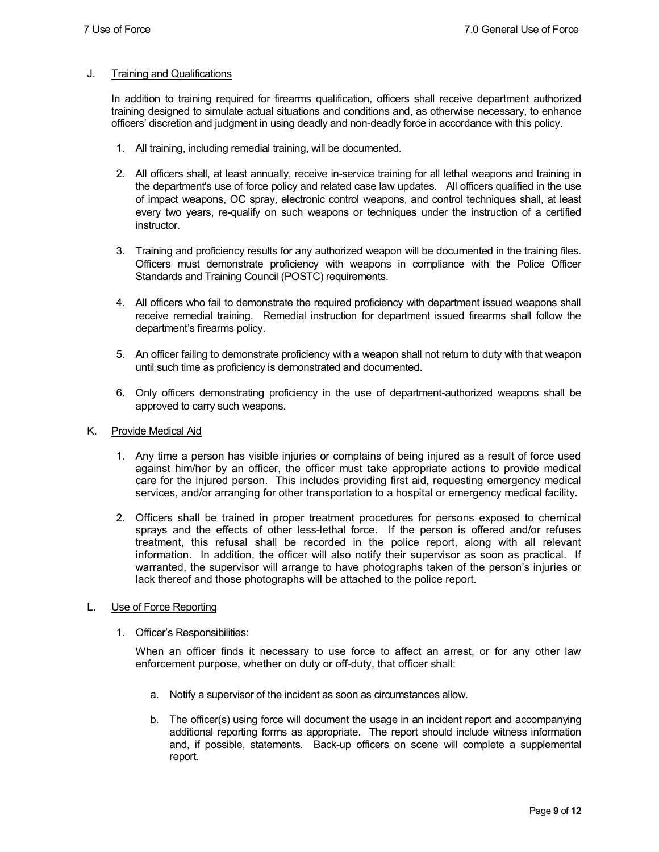## J. Training and Qualifications

In addition to training required for firearms qualification, officers shall receive department authorized training designed to simulate actual situations and conditions and, as otherwise necessary, to enhance officers' discretion and judgment in using deadly and non-deadly force in accordance with this policy.

- 1. All training, including remedial training, will be documented.
- 2. All officers shall, at least annually, receive in-service training for all lethal weapons and training in the department's use of force policy and related case law updates. All officers qualified in the use of impact weapons, OC spray, electronic control weapons, and control techniques shall, at least every two years, re-qualify on such weapons or techniques under the instruction of a certified instructor.
- 3. Training and proficiency results for any authorized weapon will be documented in the training files. Officers must demonstrate proficiency with weapons in compliance with the Police Officer Standards and Training Council (POSTC) requirements.
- 4. All officers who fail to demonstrate the required proficiency with department issued weapons shall receive remedial training. Remedial instruction for department issued firearms shall follow the department's firearms policy.
- 5. An officer failing to demonstrate proficiency with a weapon shall not return to duty with that weapon until such time as proficiency is demonstrated and documented.
- 6. Only officers demonstrating proficiency in the use of department-authorized weapons shall be approved to carry such weapons.
- K. Provide Medical Aid
	- 1. Any time a person has visible injuries or complains of being injured as a result of force used against him/her by an officer, the officer must take appropriate actions to provide medical care for the injured person. This includes providing first aid, requesting emergency medical services, and/or arranging for other transportation to a hospital or emergency medical facility.
	- 2. Officers shall be trained in proper treatment procedures for persons exposed to chemical sprays and the effects of other less-lethal force. If the person is offered and/or refuses treatment, this refusal shall be recorded in the police report, along with all relevant information. In addition, the officer will also notify their supervisor as soon as practical. If warranted, the supervisor will arrange to have photographs taken of the person's injuries or lack thereof and those photographs will be attached to the police report.

# L. Use of Force Reporting

1. Officer's Responsibilities:

When an officer finds it necessary to use force to affect an arrest, or for any other law enforcement purpose, whether on duty or off-duty, that officer shall:

- a. Notify a supervisor of the incident as soon as circumstances allow.
- b. The officer(s) using force will document the usage in an incident report and accompanying additional reporting forms as appropriate. The report should include witness information and, if possible, statements. Back-up officers on scene will complete a supplemental report.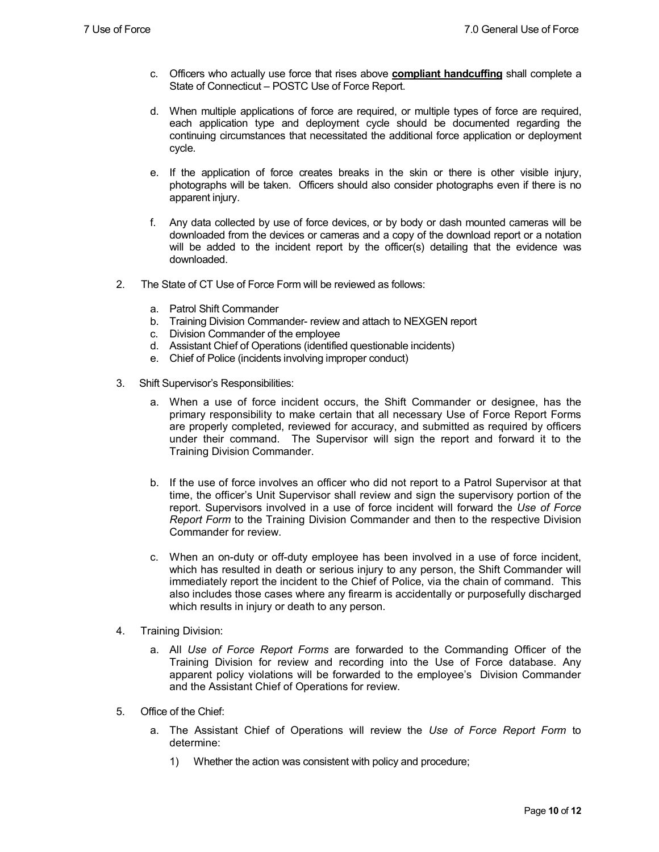- c. Officers who actually use force that rises above **compliant handcuffing** shall complete a State of Connecticut – POSTC Use of Force Report.
- d. When multiple applications of force are required, or multiple types of force are required, each application type and deployment cycle should be documented regarding the continuing circumstances that necessitated the additional force application or deployment cycle.
- e. If the application of force creates breaks in the skin or there is other visible injury, photographs will be taken. Officers should also consider photographs even if there is no apparent injury.
- f. Any data collected by use of force devices, or by body or dash mounted cameras will be downloaded from the devices or cameras and a copy of the download report or a notation will be added to the incident report by the officer(s) detailing that the evidence was downloaded.
- 2. The State of CT Use of Force Form will be reviewed as follows:
	- a. Patrol Shift Commander
	- b. Training Division Commander- review and attach to NEXGEN report
	- c. Division Commander of the employee
	- d. Assistant Chief of Operations (identified questionable incidents)
	- e. Chief of Police (incidents involving improper conduct)
- 3. Shift Supervisor's Responsibilities:
	- a. When a use of force incident occurs, the Shift Commander or designee, has the primary responsibility to make certain that all necessary Use of Force Report Forms are properly completed, reviewed for accuracy, and submitted as required by officers under their command. The Supervisor will sign the report and forward it to the Training Division Commander.
	- b. If the use of force involves an officer who did not report to a Patrol Supervisor at that time, the officer's Unit Supervisor shall review and sign the supervisory portion of the report. Supervisors involved in a use of force incident will forward the *Use of Force Report Form* to the Training Division Commander and then to the respective Division Commander for review.
	- c. When an on-duty or off-duty employee has been involved in a use of force incident, which has resulted in death or serious injury to any person, the Shift Commander will immediately report the incident to the Chief of Police, via the chain of command. This also includes those cases where any firearm is accidentally or purposefully discharged which results in injury or death to any person.
- 4. Training Division:
	- a. All *Use of Force Report Forms* are forwarded to the Commanding Officer of the Training Division for review and recording into the Use of Force database. Any apparent policy violations will be forwarded to the employee's Division Commander and the Assistant Chief of Operations for review.
- 5. Office of the Chief:
	- a. The Assistant Chief of Operations will review the *Use of Force Report Form* to determine:
		- 1) Whether the action was consistent with policy and procedure;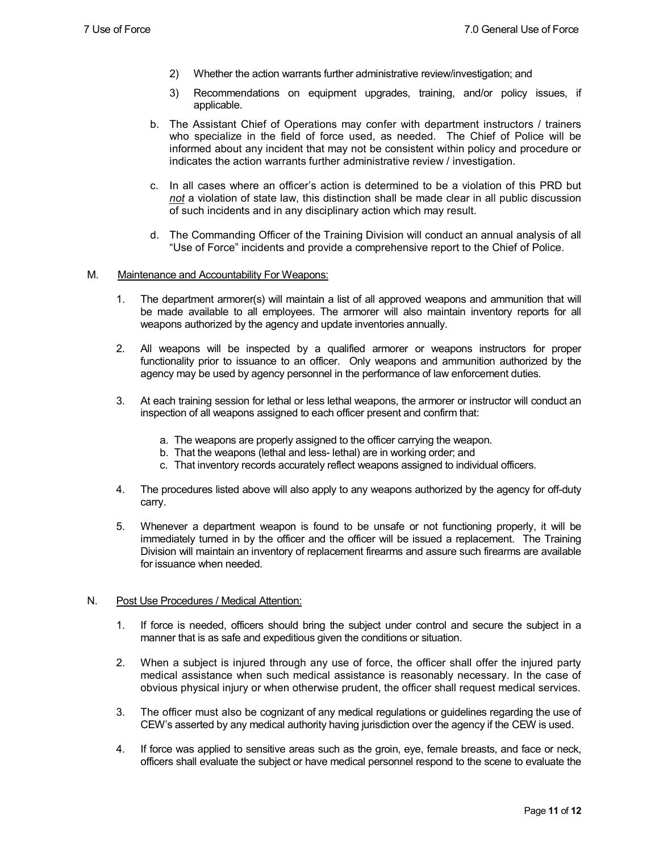- 2) Whether the action warrants further administrative review/investigation; and
- 3) Recommendations on equipment upgrades, training, and/or policy issues, if applicable.
- b. The Assistant Chief of Operations may confer with department instructors / trainers who specialize in the field of force used, as needed. The Chief of Police will be informed about any incident that may not be consistent within policy and procedure or indicates the action warrants further administrative review / investigation.
- c. In all cases where an officer's action is determined to be a violation of this PRD but *not* a violation of state law, this distinction shall be made clear in all public discussion of such incidents and in any disciplinary action which may result.
- d. The Commanding Officer of the Training Division will conduct an annual analysis of all "Use of Force" incidents and provide a comprehensive report to the Chief of Police.

#### M. Maintenance and Accountability For Weapons:

- 1. The department armorer(s) will maintain a list of all approved weapons and ammunition that will be made available to all employees. The armorer will also maintain inventory reports for all weapons authorized by the agency and update inventories annually.
- 2. All weapons will be inspected by a qualified armorer or weapons instructors for proper functionality prior to issuance to an officer. Only weapons and ammunition authorized by the agency may be used by agency personnel in the performance of law enforcement duties.
- 3. At each training session for lethal or less lethal weapons, the armorer or instructor will conduct an inspection of all weapons assigned to each officer present and confirm that:
	- a. The weapons are properly assigned to the officer carrying the weapon.
	- b. That the weapons (lethal and less- lethal) are in working order; and
	- c. That inventory records accurately reflect weapons assigned to individual officers.
- 4. The procedures listed above will also apply to any weapons authorized by the agency for off-duty carry.
- 5. Whenever a department weapon is found to be unsafe or not functioning properly, it will be immediately turned in by the officer and the officer will be issued a replacement. The Training Division will maintain an inventory of replacement firearms and assure such firearms are available for issuance when needed.

#### N. Post Use Procedures / Medical Attention:

- 1. If force is needed, officers should bring the subject under control and secure the subject in a manner that is as safe and expeditious given the conditions or situation.
- 2. When a subject is injured through any use of force, the officer shall offer the injured party medical assistance when such medical assistance is reasonably necessary. In the case of obvious physical injury or when otherwise prudent, the officer shall request medical services.
- 3. The officer must also be cognizant of any medical regulations or guidelines regarding the use of CEW's asserted by any medical authority having jurisdiction over the agency if the CEW is used.
- 4. If force was applied to sensitive areas such as the groin, eye, female breasts, and face or neck, officers shall evaluate the subject or have medical personnel respond to the scene to evaluate the